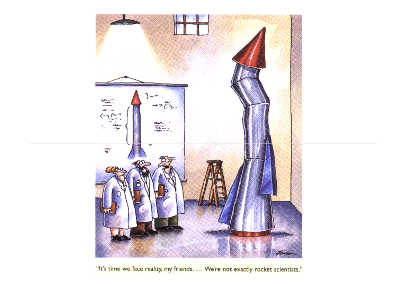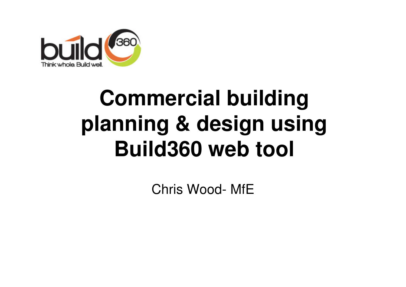

#### **Commercial building planning & design using Build360 web tool**

Chris Wood- MfE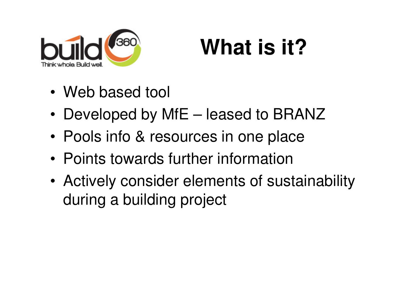

#### **What is it?**

- •Web based tool
- •Developed by MfE – leased to BRANZ
- •Pools info & resources in one place
- •Points towards further information
- • Actively consider elements of sustainability during a building project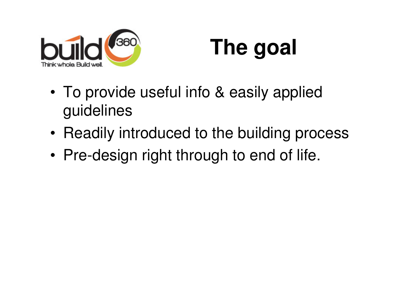

## **The goal**

- • To provide useful info & easily applied guidelines
- •Readily introduced to the building process
- •Pre-design right through to end of life.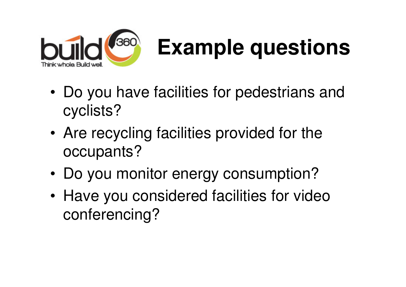

# **Example questions**

- • Do you have facilities for pedestrians and cyclists?
- • Are recycling facilities provided for the occupants?
- •Do you monitor energy consumption?
- • Have you considered facilities for video conferencing?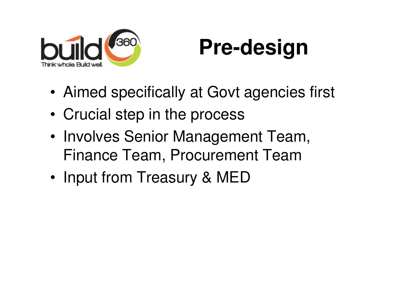

## **Pre-design**

- •Aimed specifically at Govt agencies first
- •Crucial step in the process
- •• Involves Senior Management Team, Finance Team, Procurement Team
- •Input from Treasury & MED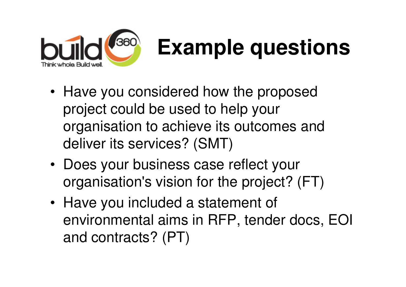

# **Example questions**

- Have you considered how the proposed project could be used to help your organisation to achieve its outcomes and deliver its services? (SMT)
- Does your business case reflect your organisation's vision for the project? (FT)
- Have you included a statement of environmental aims in RFP, tender docs, EOI and contracts? (PT)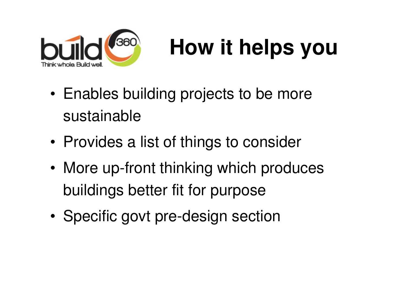

# **How it helps you**

- • Enables building projects to be more sustainable
- •• Provides a list of things to consider
- • More up-front thinking which produces buildings better fit for purpose
- •Specific govt pre-design section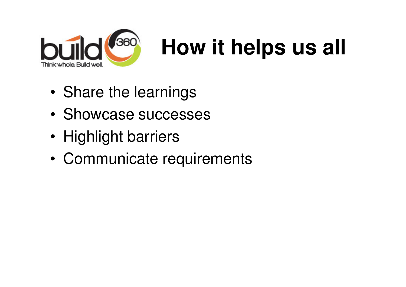

## **How it helps us all**

- •Share the learnings
- •Showcase successes
- •• Highlight barriers
- •Communicate requirements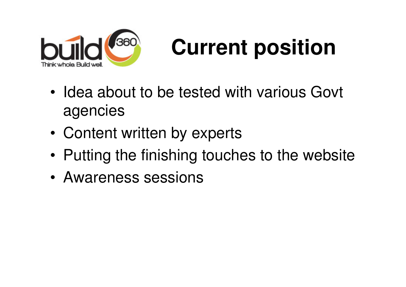

## **Current position**

- • Idea about to be tested with various Govt agencies
- •Content written by experts
- •Putting the finishing touches to the website
- •Awareness sessions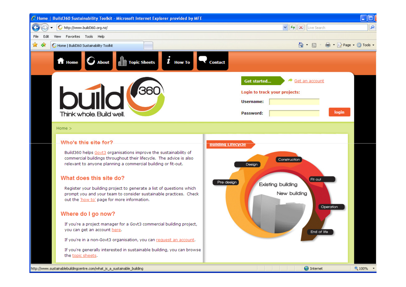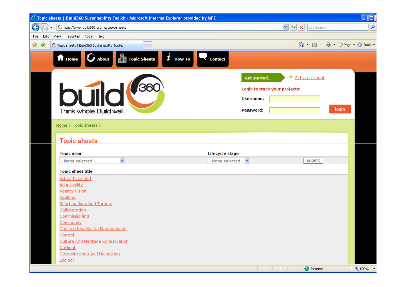| C Topic sheets   Build 360 Sustainability Toolkit - Microsoft Internet Explorer provided by MFE              |                                                               | $\Box$ ol                    |
|--------------------------------------------------------------------------------------------------------------|---------------------------------------------------------------|------------------------------|
| http://www.build360.org.nz/topic-sheets<br>G                                                                 | $\vee$ 4 $\times$<br>Live Search                              | ٩                            |
| View Favorites Tools Help<br>File<br>Edit                                                                    |                                                               |                              |
| ☆<br>₩<br>G Topic sheets   Build360 Sustainability Toolkit                                                   | ■ · Page · O Tools ·<br>$\bigcirc$ $\cdot$ $\bigcirc$ $\cdot$ |                              |
|                                                                                                              |                                                               |                              |
| $\boldsymbol{i}$ How To<br><b>f</b> Home<br>$\mathbf{U}$ About<br><b>Topic Sheets</b><br><b>Contact</b><br>鳍 |                                                               |                              |
|                                                                                                              | Get an account<br><b>Get started</b>                          |                              |
|                                                                                                              |                                                               |                              |
| 360                                                                                                          | Login to track your projects:                                 |                              |
| <b>DUI</b>                                                                                                   | <b>Username:</b>                                              |                              |
|                                                                                                              | login                                                         |                              |
| Think whole. Build well.                                                                                     | Password:                                                     |                              |
| $Home > Topic sheets >$                                                                                      |                                                               |                              |
|                                                                                                              |                                                               |                              |
| <b>Topic sheets</b>                                                                                          |                                                               |                              |
| Lifecycle stage<br><b>Topic area</b>                                                                         |                                                               |                              |
| $\blacktriangledown$<br>- None selected -  v<br>- None selected -                                            | Submit                                                        |                              |
|                                                                                                              |                                                               |                              |
| <b>Topic sheet title</b>                                                                                     |                                                               |                              |
| <b>Active Transport</b><br><b>Adaptability</b>                                                               |                                                               |                              |
| <b>Agency Vision</b>                                                                                         |                                                               |                              |
| <b>Auditing</b>                                                                                              |                                                               |                              |
| <b>Benchmarking And Targets</b>                                                                              |                                                               |                              |
| Collaboration                                                                                                |                                                               |                              |
| Commissioning                                                                                                |                                                               |                              |
| <b>Community</b>                                                                                             |                                                               |                              |
| <b>Construction Waste Management</b>                                                                         |                                                               |                              |
| Control                                                                                                      |                                                               |                              |
| <b>Culture And Heritage Conservation</b>                                                                     |                                                               |                              |
| Daylight                                                                                                     |                                                               |                              |
| <b>Deconstruction And Demolition</b>                                                                         |                                                               |                              |
| Ecology                                                                                                      |                                                               |                              |
|                                                                                                              | <b>O</b> Internet<br>.                                        | $\bigoplus$ 100% $\bigoplus$ |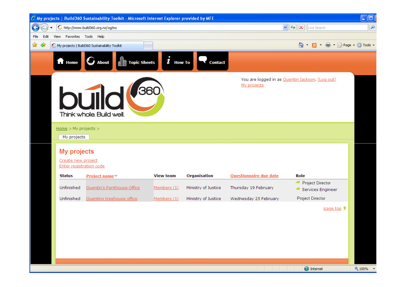